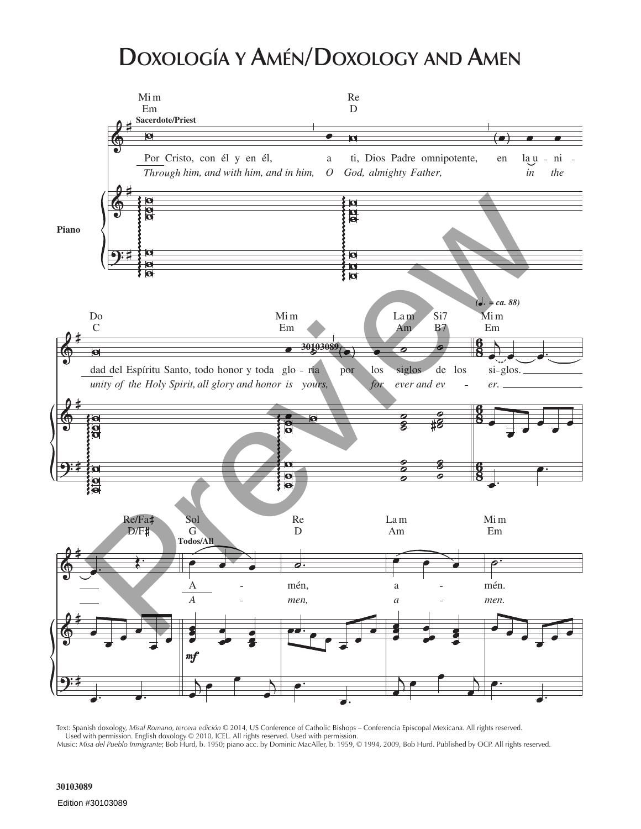## **Doxología y Amén/Doxology and Amen**



Text: Spanish doxology, *Misal Romano, tercera edición* © 2014, US Conference of Catholic Bishops – Conferencia Episcopal Mexicana. All rights reserved. Used with permission. English doxology © 2010, ICEL. All rights reserved. Used with permission. Music: *Misa del Pueblo Inmigrante*; Bob Hurd, b. 1950; piano acc. by Dominic MacAller, b. 1959, © 1994, 2009, Bob Hurd. Published by OCP. All rights reserved.